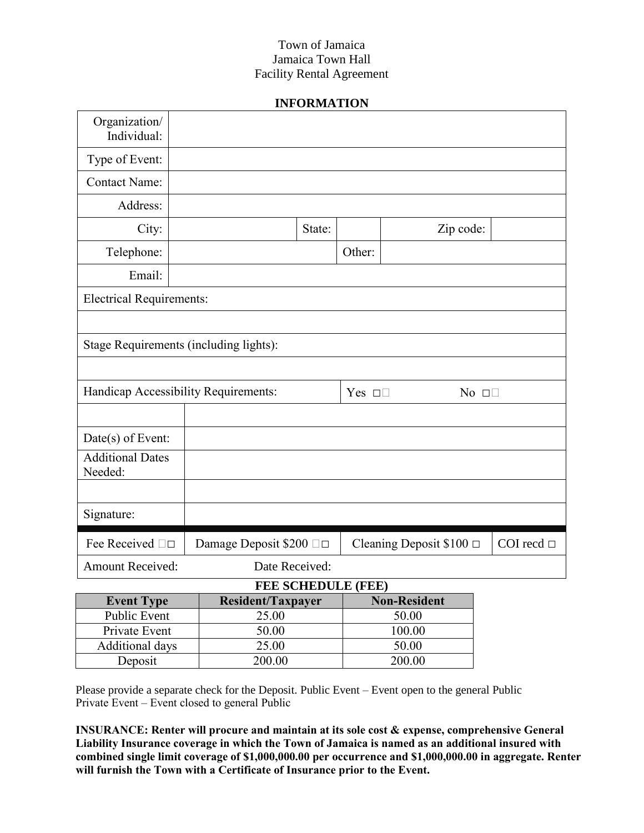# Town of Jamaica Jamaica Town Hall Facility Rental Agreement

## **INFORMATION**

| Organization/<br>Individual:           |  |                          |                               |                                 |  |                 |
|----------------------------------------|--|--------------------------|-------------------------------|---------------------------------|--|-----------------|
| Type of Event:                         |  |                          |                               |                                 |  |                 |
| <b>Contact Name:</b>                   |  |                          |                               |                                 |  |                 |
| Address:                               |  |                          |                               |                                 |  |                 |
| City:                                  |  | State:                   |                               | Zip code:                       |  |                 |
| Telephone:                             |  |                          | Other:                        |                                 |  |                 |
| Email:                                 |  |                          |                               |                                 |  |                 |
| <b>Electrical Requirements:</b>        |  |                          |                               |                                 |  |                 |
|                                        |  |                          |                               |                                 |  |                 |
| Stage Requirements (including lights): |  |                          |                               |                                 |  |                 |
|                                        |  |                          |                               |                                 |  |                 |
| Handicap Accessibility Requirements:   |  |                          | No $\square$<br>Yes $\square$ |                                 |  |                 |
|                                        |  |                          |                               |                                 |  |                 |
| Date(s) of Event:                      |  |                          |                               |                                 |  |                 |
| <b>Additional Dates</b><br>Needed:     |  |                          |                               |                                 |  |                 |
|                                        |  |                          |                               |                                 |  |                 |
| Signature:                             |  |                          |                               |                                 |  |                 |
| Fee Received □□                        |  | Damage Deposit \$200 □□  |                               | Cleaning Deposit $$100 \square$ |  | COI recd $\Box$ |
| <b>Amount Received:</b>                |  | Date Received:           |                               |                                 |  |                 |
| <b>FEE SCHEDULE (FEE)</b>              |  |                          |                               |                                 |  |                 |
| <b>Event Type</b>                      |  | <b>Resident/Taxpayer</b> |                               | <b>Non-Resident</b>             |  |                 |
| <b>Public Event</b>                    |  | 25.00                    |                               | 50.00                           |  |                 |
| Private Event                          |  | 50.00                    |                               | 100.00                          |  |                 |

Please provide a separate check for the Deposit. Public Event – Event open to the general Public Private Event – Event closed to general Public

Additional days  $25.00$  50.00 Deposit 200.00 200.00

**INSURANCE: Renter will procure and maintain at its sole cost & expense, comprehensive General Liability Insurance coverage in which the Town of Jamaica is named as an additional insured with combined single limit coverage of \$1,000,000.00 per occurrence and \$1,000,000.00 in aggregate. Renter will furnish the Town with a Certificate of Insurance prior to the Event.**